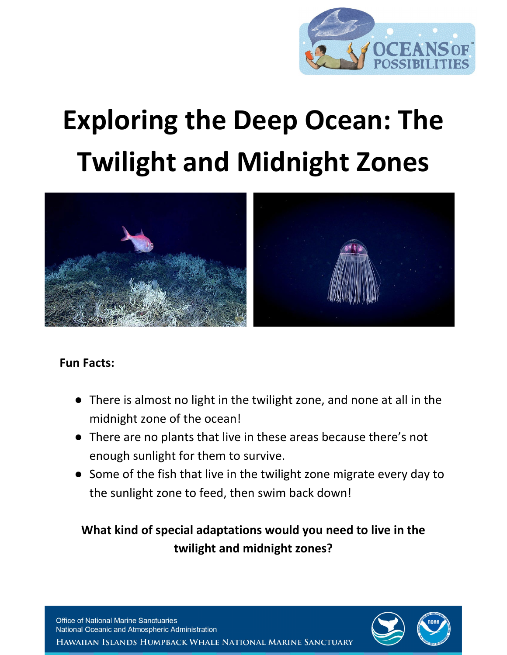

# **Exploring the Deep Ocean: The Twilight and Midnight Zones**



#### **Fun Facts:**

- There is almost no light in the twilight zone, and none at all in the midnight zone of the ocean!
- There are no plants that live in these areas because there's not enough sunlight for them to survive.
- Some of the fish that live in the twilight zone migrate every day to the sunlight zone to feed, then swim back down!

# **What kind of special adaptations would you need to live in the twilight and midnight zones?**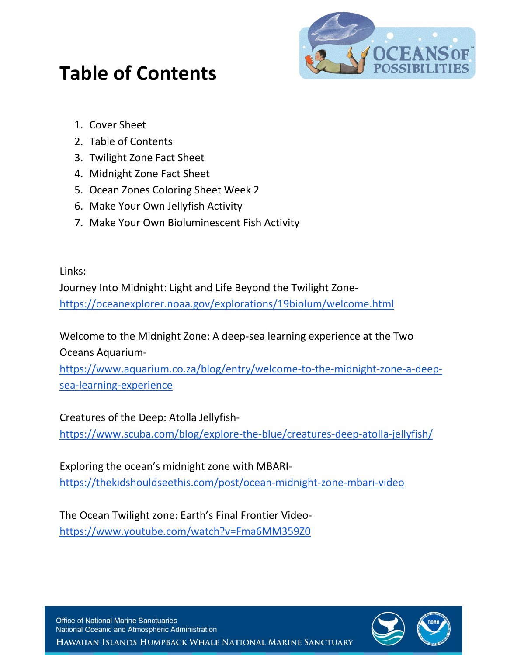

# **Table of Contents**

- 1. Cover Sheet
- 2. Table of Contents
- 3. Twilight Zone Fact Sheet
- 4. Midnight Zone Fact Sheet
- 5. Ocean Zones Coloring Sheet Week 2
- 6. Make Your Own Jellyfish Activity
- 7. Make Your Own Bioluminescent Fish Activity

Links:

Journey Into Midnight: Light and Life Beyond the Twilight Zone<https://oceanexplorer.noaa.gov/explorations/19biolum/welcome.html>

Welcome to the Midnight Zone: A deep-sea learning experience at the Two Oceans Aquarium-

[https://www.aquarium.co.za/blog/entry/welcome-to-the-midnight-zone-a-deep](https://www.aquarium.co.za/blog/entry/welcome-to-the-midnight-zone-a-deep-sea-learning-experience)[sea-learning-experience](https://www.aquarium.co.za/blog/entry/welcome-to-the-midnight-zone-a-deep-sea-learning-experience)

Creatures of the Deep: Atolla Jellyfish-

<https://www.scuba.com/blog/explore-the-blue/creatures-deep-atolla-jellyfish/>

Exploring the ocean's midnight zone with MBARI<https://thekidshouldseethis.com/post/ocean-midnight-zone-mbari-video>

The Ocean Twilight zone: Earth's Final Frontier Video<https://www.youtube.com/watch?v=Fma6MM359Z0>

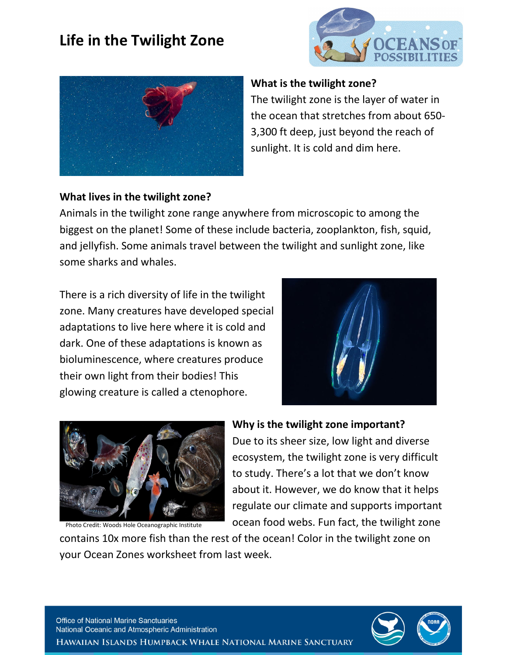# **Life in the Twilight Zone**





#### **What is the twilight zone?**

The twilight zone is the layer of water in the ocean that stretches from about 650- 3,300 ft deep, just beyond the reach of sunlight. It is cold and dim here.

#### **What lives in the twilight zone?**

Animals in the twilight zone range anywhere from microscopic to among the biggest on the planet! Some of these include bacteria, zooplankton, fish, squid, and jellyfish. Some animals travel between the twilight and sunlight zone, like some sharks and whales.

There is a rich diversity of life in the twilight zone. Many creatures have developed special adaptations to live here where it is cold and dark. One of these adaptations is known as bioluminescence, where creatures produce their own light from their bodies! This glowing creature is called a ctenophore.





Photo Credit: Woods Hole Oceanographic Institute

#### **Why is the twilight zone important?**

Due to its sheer size, low light and diverse ecosystem, the twilight zone is very difficult to study. There's a lot that we don't know about it. However, we do know that it helps regulate our climate and supports important ocean food webs. Fun fact, the twilight zone

contains 10x more fish than the rest of the ocean! Color in the twilight zone on your Ocean Zones worksheet from last week.

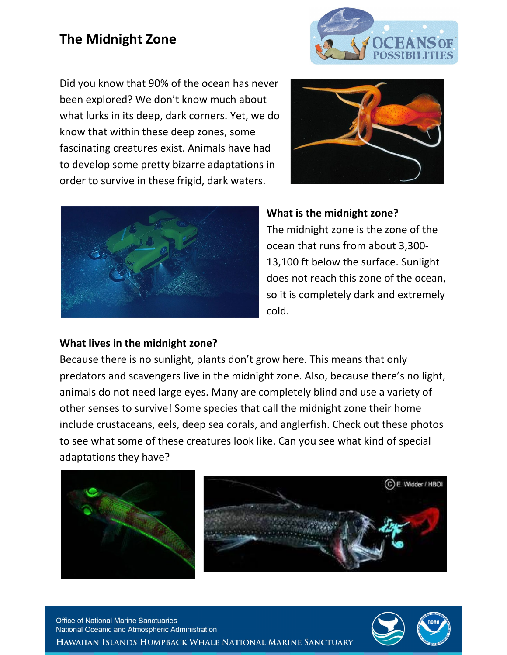## **The Midnight Zone**



Did you know that 90% of the ocean has never been explored? We don't know much about what lurks in its deep, dark corners. Yet, we do know that within these deep zones, some fascinating creatures exist. Animals have had to develop some pretty bizarre adaptations in order to survive in these frigid, dark waters.





#### **What is the midnight zone?**

The midnight zone is the zone of the ocean that runs from about 3,300- 13,100 ft below the surface. Sunlight does not reach this zone of the ocean, so it is completely dark and extremely cold.

#### **What lives in the midnight zone?**

Because there is no sunlight, plants don't grow here. This means that only predators and scavengers live in the midnight zone. Also, because there's no light, animals do not need large eyes. Many are completely blind and use a variety of other senses to survive! Some species that call the midnight zone their home include crustaceans, eels, deep sea corals, and anglerfish. Check out these photos to see what some of these creatures look like. Can you see what kind of special adaptations they have?



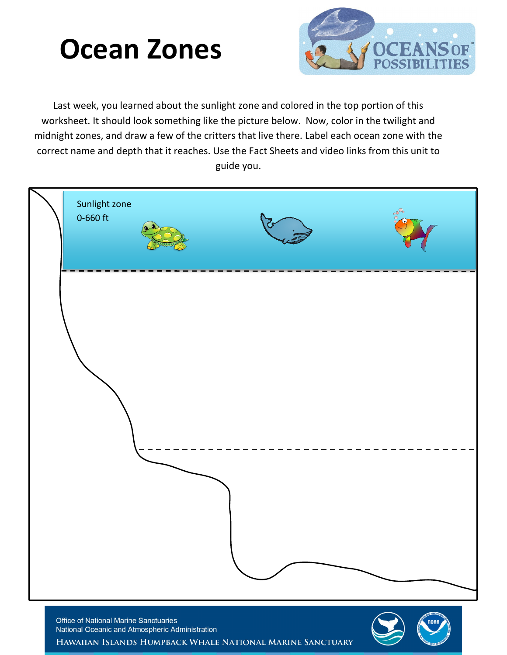# **Ocean Zones**



Last week, you learned about the sunlight zone and colored in the top portion of this worksheet. It should look something like the picture below. Now, color in the twilight and midnight zones, and draw a few of the critters that live there. Label each ocean zone with the correct name and depth that it reaches. Use the Fact Sheets and video links from this unit to guide you.



HAWAIIAN ISLANDS HUMPBACK WHALE NATIONAL MARINE SANCTUARY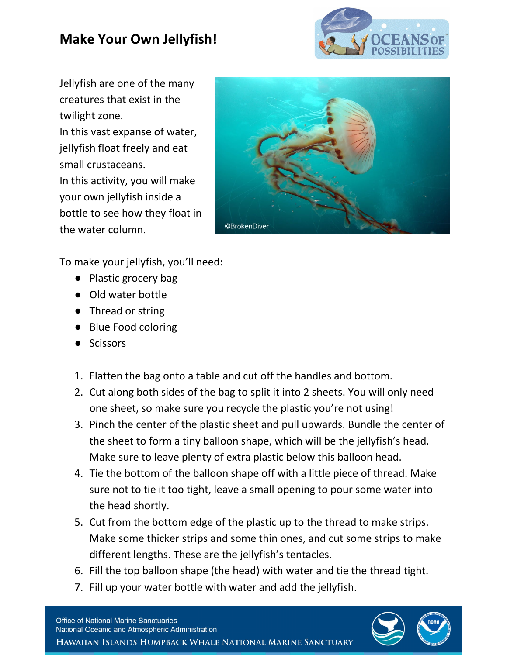# **Make Your Own Jellyfish!**



Jellyfish are one of the many creatures that exist in the twilight zone. In this vast expanse of water, jellyfish float freely and eat small crustaceans. In this activity, you will make your own jellyfish inside a

bottle to see how they float in the water column.



To make your jellyfish, you'll need:

- Plastic grocery bag
- Old water bottle
- Thread or string
- Blue Food coloring
- Scissors
- 1. Flatten the bag onto a table and cut off the handles and bottom.
- 2. Cut along both sides of the bag to split it into 2 sheets. You will only need one sheet, so make sure you recycle the plastic you're not using!
- 3. Pinch the center of the plastic sheet and pull upwards. Bundle the center of the sheet to form a tiny balloon shape, which will be the jellyfish's head. Make sure to leave plenty of extra plastic below this balloon head.
- 4. Tie the bottom of the balloon shape off with a little piece of thread. Make sure not to tie it too tight, leave a small opening to pour some water into the head shortly.
- 5. Cut from the bottom edge of the plastic up to the thread to make strips. Make some thicker strips and some thin ones, and cut some strips to make different lengths. These are the jellyfish's tentacles.
- 6. Fill the top balloon shape (the head) with water and tie the thread tight.
- 7. Fill up your water bottle with water and add the jellyfish.

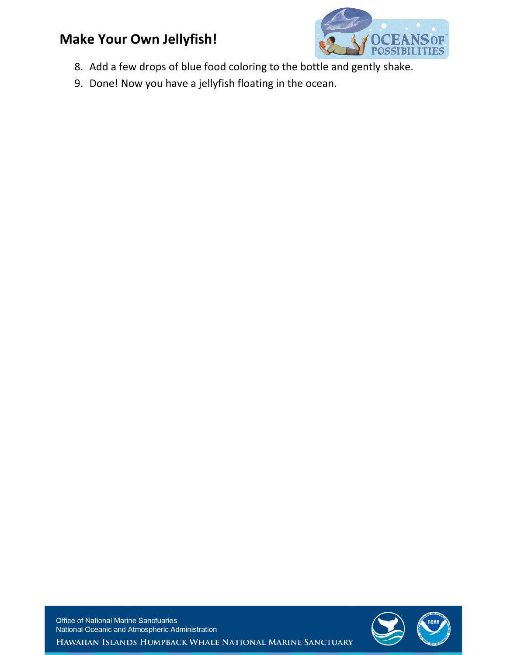## **Make Your Own Jellyfish!**



- 8. Add a few drops of blue food coloring to the bottle and gently shake.
- 9. Done! Now you have a jellyfish floating in the ocean.

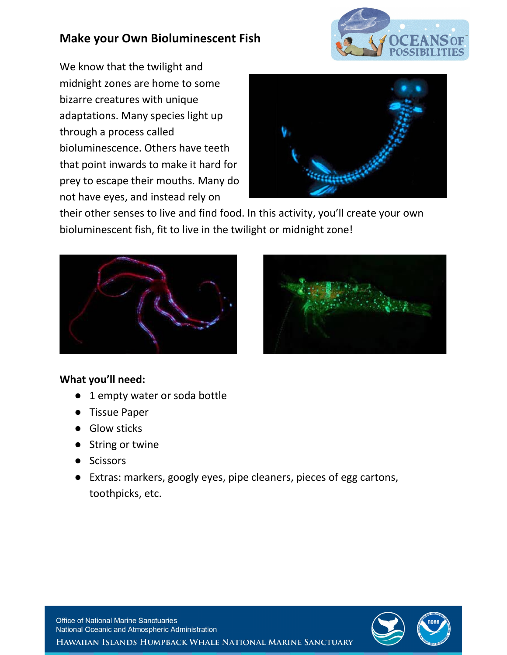### **Make your Own Bioluminescent Fish**



We know that the twilight and midnight zones are home to some bizarre creatures with unique adaptations. Many species light up through a process called bioluminescence. Others have teeth that point inwards to make it hard for prey to escape their mouths. Many do not have eyes, and instead rely on



their other senses to live and find food. In this activity, you'll create your own bioluminescent fish, fit to live in the twilight or midnight zone!





#### **What you'll need:**

- 1 empty water or soda bottle
- **Tissue Paper**
- Glow sticks
- String or twine
- Scissors
- Extras: markers, googly eyes, pipe cleaners, pieces of egg cartons, toothpicks, etc.